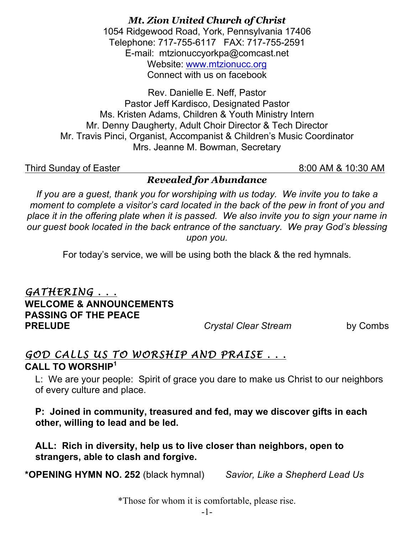*Mt. Zion United Church of Christ* 1054 Ridgewood Road, York, Pennsylvania 17406 Telephone: 717-755-6117 FAX: 717-755-2591 E-mail: mtzionuccyorkpa@comcast.net Website: www.mtzionucc.org Connect with us on facebook

Rev. Danielle E. Neff, Pastor Pastor Jeff Kardisco, Designated Pastor Ms. Kristen Adams, Children & Youth Ministry Intern Mr. Denny Daugherty, Adult Choir Director & Tech Director Mr. Travis Pinci, Organist, Accompanist & Children's Music Coordinator Mrs. Jeanne M. Bowman, Secretary

Third Sunday of Easter 8:00 AM & 10:30 AM

*Revealed for Abundance*

*If you are a guest, thank you for worshiping with us today. We invite you to take a moment to complete a visitor's card located in the back of the pew in front of you and place it in the offering plate when it is passed. We also invite you to sign your name in our guest book located in the back entrance of the sanctuary. We pray God's blessing upon you.*

For today's service, we will be using both the black & the red hymnals.

*GATHERING . . .* **WELCOME & ANNOUNCEMENTS PASSING OF THE PEACE PRELUDE** *Crystal Clear Stream* by Combs

### *GOD CALLS US TO WORSHIP AND PRAISE . . .*  **CALL TO WORSHIP<sup>1</sup>**

 L: We are your people: Spirit of grace you dare to make us Christ to our neighbors of every culture and place.

 **P: Joined in community, treasured and fed, may we discover gifts in each other, willing to lead and be led.**

 **ALL: Rich in diversity, help us to live closer than neighbors, open to strangers, able to clash and forgive.**

**\*OPENING HYMN NO. 252** (black hymnal) *Savior, Like a Shepherd Lead Us*

\*Those for whom it is comfortable, please rise.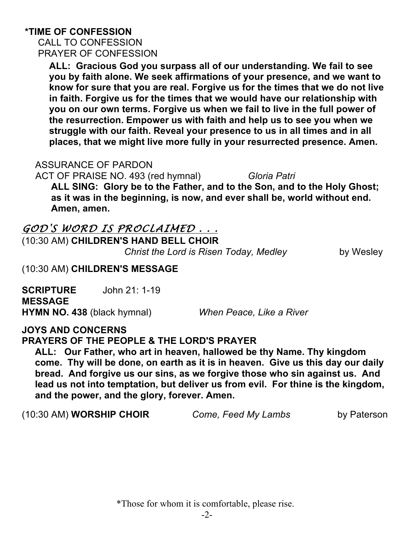# **\*TIME OF CONFESSION**

 CALL TO CONFESSION PRAYER OF CONFESSION

**ALL: Gracious God you surpass all of our understanding. We fail to see you by faith alone. We seek affirmations of your presence, and we want to know for sure that you are real. Forgive us for the times that we do not live in faith. Forgive us for the times that we would have our relationship with you on our own terms. Forgive us when we fail to live in the full power of the resurrection. Empower us with faith and help us to see you when we struggle with our faith. Reveal your presence to us in all times and in all places, that we might live more fully in your resurrected presence. Amen.**

#### ASSURANCE OF PARDON

ACT OF PRAISE NO. 493 (red hymnal) *Gloria Patri* 

 **ALL SING: Glory be to the Father, and to the Son, and to the Holy Ghost; as it was in the beginning, is now, and ever shall be, world without end. Amen, amen.**

### *GOD'S WORD IS PROCLAIMED . . .*

(10:30 AM) **CHILDREN'S HAND BELL CHOIR** *Christ the Lord is Risen Today, Medley*by Wesley

### (10:30 AM) **CHILDREN'S MESSAGE**

**SCRIPTURE** John 21: 1-19 **MESSAGE HYMN NO. 438** (black hymnal) *When Peace, Like a River*

#### **JOYS AND CONCERNS**

**PRAYERS OF THE PEOPLE & THE LORD'S PRAYER**

 **ALL: Our Father, who art in heaven, hallowed be thy Name. Thy kingdom come. Thy will be done, on earth as it is in heaven. Give us this day our daily bread. And forgive us our sins, as we forgive those who sin against us. And lead us not into temptation, but deliver us from evil. For thine is the kingdom, and the power, and the glory, forever. Amen.**

(10:30 AM) **WORSHIP CHOIR** *Come, Feed My Lambs* by Paterson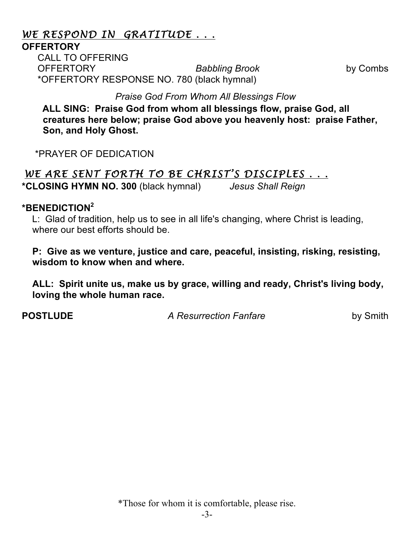### *WE RESPOND IN GRATITUDE . . .*

#### **OFFERTORY**

CALL TO OFFERING OFFERTORY *Babbling Brook* by Combs \*OFFERTORY RESPONSE NO. 780 (black hymnal)

*Praise God From Whom All Blessings Flow*

 **ALL SING: Praise God from whom all blessings flow, praise God, all creatures here below; praise God above you heavenly host: praise Father, Son, and Holy Ghost.** 

\*PRAYER OF DEDICATION

# WE ARE SENT FORTH TO BE CHRIST'S DISCIPLES . . .

**\*CLOSING HYMN NO. 300** (black hymnal) *Jesus Shall Reign*

#### **\*BENEDICTION<sup>2</sup>**

 L: Glad of tradition, help us to see in all life's changing, where Christ is leading, where our best efforts should be.

 **P: Give as we venture, justice and care, peaceful, insisting, risking, resisting, wisdom to know when and where.**

 **ALL: Spirit unite us, make us by grace, willing and ready, Christ's living body, loving the whole human race.**

**POSTLUDE** *A Resurrection Fanfare* by Smith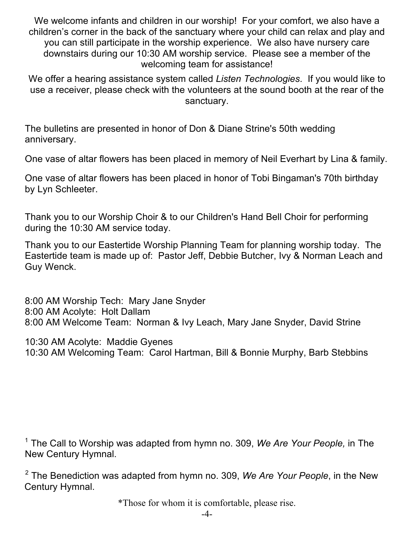We welcome infants and children in our worship! For your comfort, we also have a children's corner in the back of the sanctuary where your child can relax and play and you can still participate in the worship experience. We also have nursery care downstairs during our 10:30 AM worship service. Please see a member of the welcoming team for assistance!

We offer a hearing assistance system called *Listen Technologies*. If you would like to use a receiver, please check with the volunteers at the sound booth at the rear of the sanctuary.

The bulletins are presented in honor of Don & Diane Strine's 50th wedding anniversary.

One vase of altar flowers has been placed in memory of Neil Everhart by Lina & family.

One vase of altar flowers has been placed in honor of Tobi Bingaman's 70th birthday by Lyn Schleeter.

Thank you to our Worship Choir & to our Children's Hand Bell Choir for performing during the 10:30 AM service today.

Thank you to our Eastertide Worship Planning Team for planning worship today. The Eastertide team is made up of: Pastor Jeff, Debbie Butcher, Ivy & Norman Leach and Guy Wenck.

8:00 AM Worship Tech: Mary Jane Snyder 8:00 AM Acolyte: Holt Dallam 8:00 AM Welcome Team: Norman & Ivy Leach, Mary Jane Snyder, David Strine

10:30 AM Acolyte: Maddie Gyenes 10:30 AM Welcoming Team: Carol Hartman, Bill & Bonnie Murphy, Barb Stebbins

<sup>1</sup> The Call to Worship was adapted from hymn no. 309, *We Are Your People,* in The New Century Hymnal.

<sup>2</sup> The Benediction was adapted from hymn no. 309, *We Are Your People*, in the New Century Hymnal.

\*Those for whom it is comfortable, please rise.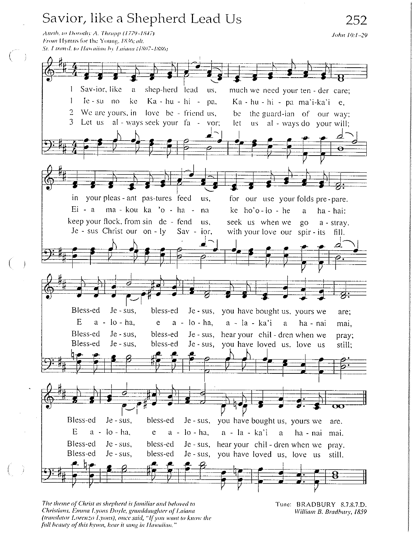# Savior, like a Shepherd Lead Us

Attrib. to Dorothy A. Thrupp (1779-1847). From Hymns for the Young, 1836; alt. St. Uransl. to Hawaiian by Laiana (1807-1886)

 $(\Box)$ 



The theme of Christ as shepherd is familiar and beloved to Christians, Emma Lyons Doyle, granddaughter of Laiana (translator Lorenzo Lyons), once said, "If you want to know the full beauty of this hymn, hear it sung in Hawaiian."

Tune: BRADBURY 8.7.8.7.D. William B. Bradbury, 1859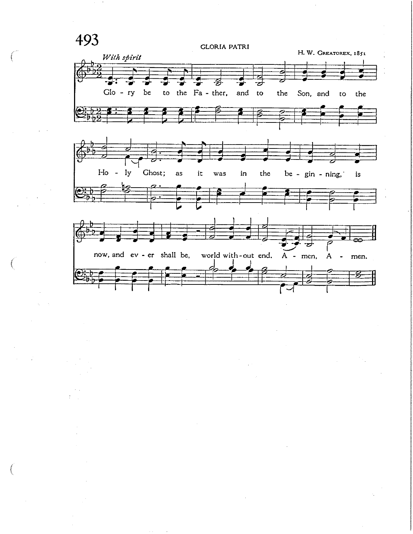493

**GLORIA PATRI** 

H. W. GREATOREX, 1851

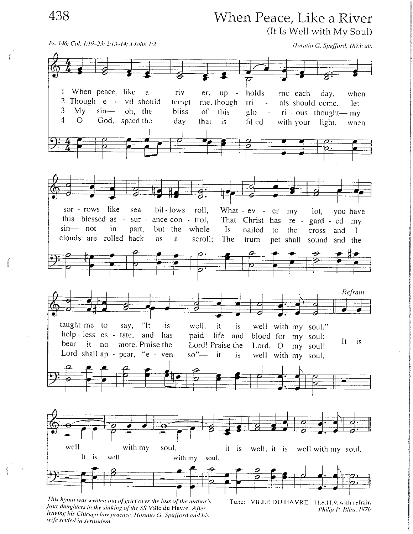438

When Peace, Like a River (It Is Well with My Soul)



four daughters in the sinking of the SS Ville du Havre. After leaving his Chicago law practice, Horatio G. Spafford and his wife settled in Jerusalem.

Philip P. Bliss, 1876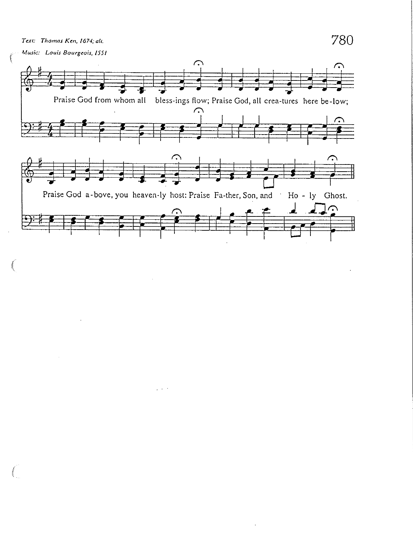Text: Thomas Ken, 1674; alt.

780

 $\cdot$ 

Music: Louis Bourgeois, 1551

 $\hat{\mathbf{z}}$ 



 $\bar{z}$ 

 $\varphi\to\psi\bar{\psi}$ 

 $\alpha$